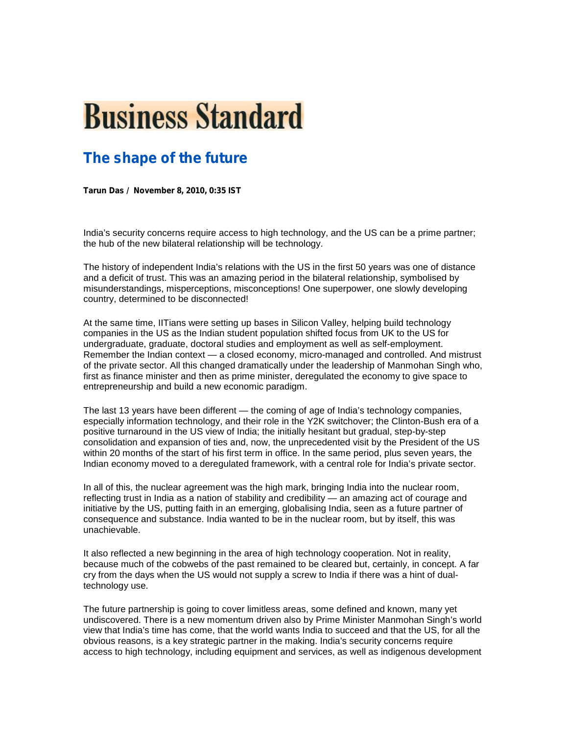## **Business Standard**

## **The shape of the future**

**Tarun Das / November 8, 2010, 0:35 IST**

India's security concerns require access to high technology, and the US can be a prime partner; the hub of the new bilateral relationship will be technology.

The history of independent India's relations with the US in the first 50 years was one of distance and a deficit of trust. This was an amazing period in the bilateral relationship, symbolised by misunderstandings, misperceptions, misconceptions! One superpower, one slowly developing country, determined to be disconnected!

At the same time, IITians were setting up bases in Silicon Valley, helping build technology companies in the US as the Indian student population shifted focus from UK to the US for undergraduate, graduate, doctoral studies and employment as well as self-employment. Remember the Indian context — a closed economy, micro-managed and controlled. And mistrust of the private sector. All this changed dramatically under the leadership of Manmohan Singh who, first as finance minister and then as prime minister, deregulated the economy to give space to entrepreneurship and build a new economic paradigm.

The last 13 years have been different — the coming of age of India's technology companies, especially information technology, and their role in the Y2K switchover; the Clinton-Bush era of a positive turnaround in the US view of India; the initially hesitant but gradual, step-by-step consolidation and expansion of ties and, now, the unprecedented visit by the President of the US within 20 months of the start of his first term in office. In the same period, plus seven years, the Indian economy moved to a deregulated framework, with a central role for India's private sector.

In all of this, the nuclear agreement was the high mark, bringing India into the nuclear room, reflecting trust in India as a nation of stability and credibility — an amazing act of courage and initiative by the US, putting faith in an emerging, globalising India, seen as a future partner of consequence and substance. India wanted to be in the nuclear room, but by itself, this was unachievable.

It also reflected a new beginning in the area of high technology cooperation. Not in reality, because much of the cobwebs of the past remained to be cleared but, certainly, in concept. A far cry from the days when the US would not supply a screw to India if there was a hint of dualtechnology use.

The future partnership is going to cover limitless areas, some defined and known, many yet undiscovered. There is a new momentum driven also by Prime Minister Manmohan Singh's world view that India's time has come, that the world wants India to succeed and that the US, for all the obvious reasons, is a key strategic partner in the making. India's security concerns require access to high technology, including equipment and services, as well as indigenous development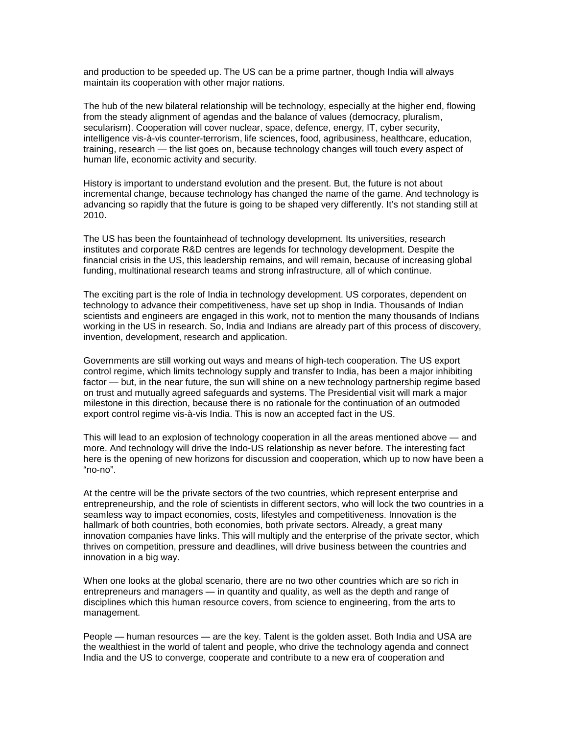and production to be speeded up. The US can be a prime partner, though India will always maintain its cooperation with other major nations.

The hub of the new bilateral relationship will be technology, especially at the higher end, flowing from the steady alignment of agendas and the balance of values (democracy, pluralism, secularism). Cooperation will cover nuclear, space, defence, energy, IT, cyber security, intelligence vis-à-vis counter-terrorism, life sciences, food, agribusiness, healthcare, education, training, research — the list goes on, because technology changes will touch every aspect of human life, economic activity and security.

History is important to understand evolution and the present. But, the future is not about incremental change, because technology has changed the name of the game. And technology is advancing so rapidly that the future is going to be shaped very differently. It's not standing still at 2010.

The US has been the fountainhead of technology development. Its universities, research institutes and corporate R&D centres are legends for technology development. Despite the financial crisis in the US, this leadership remains, and will remain, because of increasing global funding, multinational research teams and strong infrastructure, all of which continue.

The exciting part is the role of India in technology development. US corporates, dependent on technology to advance their competitiveness, have set up shop in India. Thousands of Indian scientists and engineers are engaged in this work, not to mention the many thousands of Indians working in the US in research. So, India and Indians are already part of this process of discovery, invention, development, research and application.

Governments are still working out ways and means of high-tech cooperation. The US export control regime, which limits technology supply and transfer to India, has been a major inhibiting factor — but, in the near future, the sun will shine on a new technology partnership regime based on trust and mutually agreed safeguards and systems. The Presidential visit will mark a major milestone in this direction, because there is no rationale for the continuation of an outmoded export control regime vis-à-vis India. This is now an accepted fact in the US.

This will lead to an explosion of technology cooperation in all the areas mentioned above — and more. And technology will drive the Indo-US relationship as never before. The interesting fact here is the opening of new horizons for discussion and cooperation, which up to now have been a "no-no".

At the centre will be the private sectors of the two countries, which represent enterprise and entrepreneurship, and the role of scientists in different sectors, who will lock the two countries in a seamless way to impact economies, costs, lifestyles and competitiveness. Innovation is the hallmark of both countries, both economies, both private sectors. Already, a great many innovation companies have links. This will multiply and the enterprise of the private sector, which thrives on competition, pressure and deadlines, will drive business between the countries and innovation in a big way.

When one looks at the global scenario, there are no two other countries which are so rich in entrepreneurs and managers — in quantity and quality, as well as the depth and range of disciplines which this human resource covers, from science to engineering, from the arts to management.

People — human resources — are the key. Talent is the golden asset. Both India and USA are the wealthiest in the world of talent and people, who drive the technology agenda and connect India and the US to converge, cooperate and contribute to a new era of cooperation and